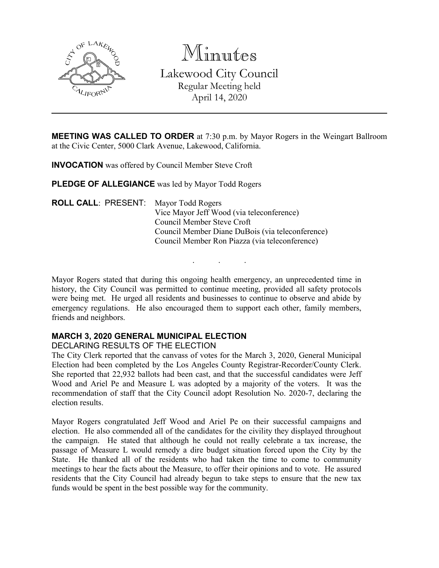

Minutes Lakewood City Council Regular Meeting held April 14, 2020

**MEETING WAS CALLED TO ORDER** at 7:30 p.m. by Mayor Rogers in the Weingart Ballroom at the Civic Center, 5000 Clark Avenue, Lakewood, California.

**INVOCATION** was offered by Council Member Steve Croft

**PLEDGE OF ALLEGIANCE** was led by Mayor Todd Rogers

| <b>ROLL CALL: PRESENT:</b> Mayor Todd Rogers |                                                  |
|----------------------------------------------|--------------------------------------------------|
|                                              | Vice Mayor Jeff Wood (via teleconference)        |
|                                              | Council Member Steve Croft                       |
|                                              | Council Member Diane DuBois (via teleconference) |
|                                              | Council Member Ron Piazza (via teleconference)   |
|                                              |                                                  |

Mayor Rogers stated that during this ongoing health emergency, an unprecedented time in history, the City Council was permitted to continue meeting, provided all safety protocols were being met. He urged all residents and businesses to continue to observe and abide by emergency regulations. He also encouraged them to support each other, family members, friends and neighbors.

. . .

# **MARCH 3, 2020 GENERAL MUNICIPAL ELECTION**

DECLARING RESULTS OF THE ELECTION

The City Clerk reported that the canvass of votes for the March 3, 2020, General Municipal Election had been completed by the Los Angeles County Registrar-Recorder/County Clerk. She reported that 22,932 ballots had been cast, and that the successful candidates were Jeff Wood and Ariel Pe and Measure L was adopted by a majority of the voters. It was the recommendation of staff that the City Council adopt Resolution No. 2020-7, declaring the election results.

Mayor Rogers congratulated Jeff Wood and Ariel Pe on their successful campaigns and election. He also commended all of the candidates for the civility they displayed throughout the campaign. He stated that although he could not really celebrate a tax increase, the passage of Measure L would remedy a dire budget situation forced upon the City by the State. He thanked all of the residents who had taken the time to come to community meetings to hear the facts about the Measure, to offer their opinions and to vote. He assured residents that the City Council had already begun to take steps to ensure that the new tax funds would be spent in the best possible way for the community.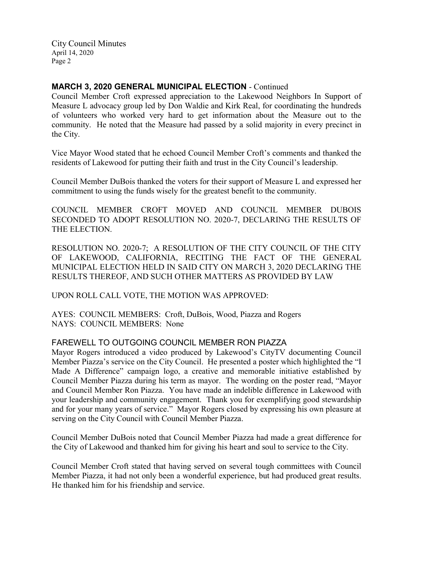## **MARCH 3, 2020 GENERAL MUNICIPAL ELECTION** - Continued

Council Member Croft expressed appreciation to the Lakewood Neighbors In Support of Measure L advocacy group led by Don Waldie and Kirk Real, for coordinating the hundreds of volunteers who worked very hard to get information about the Measure out to the community. He noted that the Measure had passed by a solid majority in every precinct in the City.

Vice Mayor Wood stated that he echoed Council Member Croft's comments and thanked the residents of Lakewood for putting their faith and trust in the City Council's leadership.

Council Member DuBois thanked the voters for their support of Measure L and expressed her commitment to using the funds wisely for the greatest benefit to the community.

COUNCIL MEMBER CROFT MOVED AND COUNCIL MEMBER DUBOIS SECONDED TO ADOPT RESOLUTION NO. 2020-7, DECLARING THE RESULTS OF THE ELECTION.

RESOLUTION NO. 2020-7; A RESOLUTION OF THE CITY COUNCIL OF THE CITY OF LAKEWOOD, CALIFORNIA, RECITING THE FACT OF THE GENERAL MUNICIPAL ELECTION HELD IN SAID CITY ON MARCH 3, 2020 DECLARING THE RESULTS THEREOF, AND SUCH OTHER MATTERS AS PROVIDED BY LAW

UPON ROLL CALL VOTE, THE MOTION WAS APPROVED:

AYES: COUNCIL MEMBERS: Croft, DuBois, Wood, Piazza and Rogers NAYS: COUNCIL MEMBERS: None

# FAREWELL TO OUTGOING COUNCIL MEMBER RON PIAZZA

Mayor Rogers introduced a video produced by Lakewood's CityTV documenting Council Member Piazza's service on the City Council. He presented a poster which highlighted the "I Made A Difference" campaign logo, a creative and memorable initiative established by Council Member Piazza during his term as mayor. The wording on the poster read, "Mayor and Council Member Ron Piazza. You have made an indelible difference in Lakewood with your leadership and community engagement. Thank you for exemplifying good stewardship and for your many years of service." Mayor Rogers closed by expressing his own pleasure at serving on the City Council with Council Member Piazza.

Council Member DuBois noted that Council Member Piazza had made a great difference for the City of Lakewood and thanked him for giving his heart and soul to service to the City.

Council Member Croft stated that having served on several tough committees with Council Member Piazza, it had not only been a wonderful experience, but had produced great results. He thanked him for his friendship and service.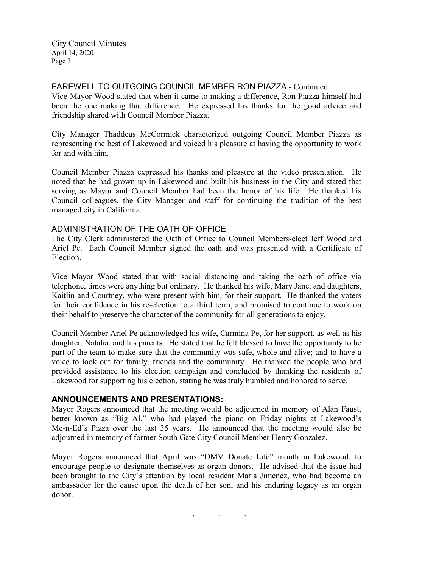FAREWELL TO OUTGOING COUNCIL MEMBER RON PIAZZA - Continued Vice Mayor Wood stated that when it came to making a difference, Ron Piazza himself had been the one making that difference. He expressed his thanks for the good advice and friendship shared with Council Member Piazza.

City Manager Thaddeus McCormick characterized outgoing Council Member Piazza as representing the best of Lakewood and voiced his pleasure at having the opportunity to work for and with him.

Council Member Piazza expressed his thanks and pleasure at the video presentation. He noted that he had grown up in Lakewood and built his business in the City and stated that serving as Mayor and Council Member had been the honor of his life. He thanked his Council colleagues, the City Manager and staff for continuing the tradition of the best managed city in California.

### ADMINISTRATION OF THE OATH OF OFFICE

The City Clerk administered the Oath of Office to Council Members-elect Jeff Wood and Ariel Pe. Each Council Member signed the oath and was presented with a Certificate of Election.

Vice Mayor Wood stated that with social distancing and taking the oath of office via telephone, times were anything but ordinary. He thanked his wife, Mary Jane, and daughters, Kaitlin and Courtney, who were present with him, for their support. He thanked the voters for their confidence in his re-election to a third term, and promised to continue to work on their behalf to preserve the character of the community for all generations to enjoy.

Council Member Ariel Pe acknowledged his wife, Carmina Pe, for her support, as well as his daughter, Natalia, and his parents. He stated that he felt blessed to have the opportunity to be part of the team to make sure that the community was safe, whole and alive; and to have a voice to look out for family, friends and the community. He thanked the people who had provided assistance to his election campaign and concluded by thanking the residents of Lakewood for supporting his election, stating he was truly humbled and honored to serve.

# **ANNOUNCEMENTS AND PRESENTATIONS:**

Mayor Rogers announced that the meeting would be adjourned in memory of Alan Faust, better known as "Big Al," who had played the piano on Friday nights at Lakewood's Me-n-Ed's Pizza over the last 35 years. He announced that the meeting would also be adjourned in memory of former South Gate City Council Member Henry Gonzalez.

Mayor Rogers announced that April was "DMV Donate Life" month in Lakewood, to encourage people to designate themselves as organ donors. He advised that the issue had been brought to the City's attention by local resident Maria Jimenez, who had become an ambassador for the cause upon the death of her son, and his enduring legacy as an organ donor.

. . .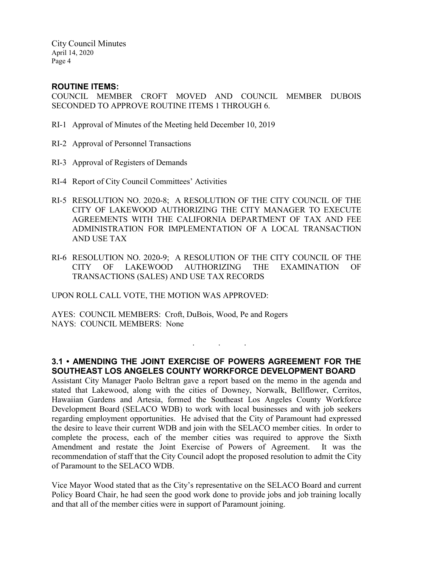### **ROUTINE ITEMS:**

COUNCIL MEMBER CROFT MOVED AND COUNCIL MEMBER DUBOIS SECONDED TO APPROVE ROUTINE ITEMS 1 THROUGH 6.

- RI-1 Approval of Minutes of the Meeting held December 10, 2019
- RI-2 Approval of Personnel Transactions
- RI-3 Approval of Registers of Demands
- RI-4 Report of City Council Committees' Activities
- RI-5 RESOLUTION NO. 2020-8; A RESOLUTION OF THE CITY COUNCIL OF THE CITY OF LAKEWOOD AUTHORIZING THE CITY MANAGER TO EXECUTE AGREEMENTS WITH THE CALIFORNIA DEPARTMENT OF TAX AND FEE ADMINISTRATION FOR IMPLEMENTATION OF A LOCAL TRANSACTION AND USE TAX
- RI-6 RESOLUTION NO. 2020-9; A RESOLUTION OF THE CITY COUNCIL OF THE CITY OF LAKEWOOD AUTHORIZING THE EXAMINATION OF TRANSACTIONS (SALES) AND USE TAX RECORDS

UPON ROLL CALL VOTE, THE MOTION WAS APPROVED:

AYES: COUNCIL MEMBERS: Croft, DuBois, Wood, Pe and Rogers NAYS: COUNCIL MEMBERS: None

# **3.1 • AMENDING THE JOINT EXERCISE OF POWERS AGREEMENT FOR THE SOUTHEAST LOS ANGELES COUNTY WORKFORCE DEVELOPMENT BOARD**

. . .

Assistant City Manager Paolo Beltran gave a report based on the memo in the agenda and stated that Lakewood, along with the cities of Downey, Norwalk, Bellflower, Cerritos, Hawaiian Gardens and Artesia, formed the Southeast Los Angeles County Workforce Development Board (SELACO WDB) to work with local businesses and with job seekers regarding employment opportunities. He advised that the City of Paramount had expressed the desire to leave their current WDB and join with the SELACO member cities. In order to complete the process, each of the member cities was required to approve the Sixth Amendment and restate the Joint Exercise of Powers of Agreement. It was the recommendation of staff that the City Council adopt the proposed resolution to admit the City of Paramount to the SELACO WDB.

Vice Mayor Wood stated that as the City's representative on the SELACO Board and current Policy Board Chair, he had seen the good work done to provide jobs and job training locally and that all of the member cities were in support of Paramount joining.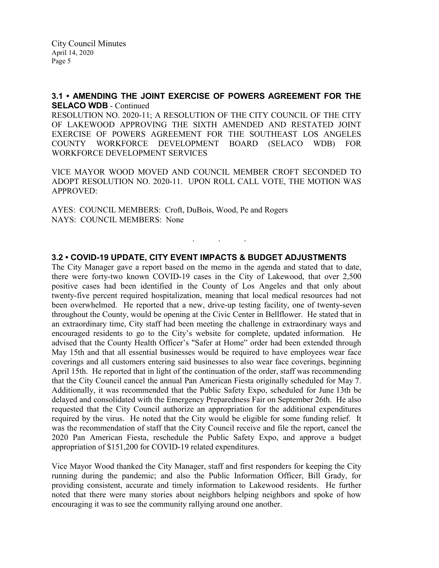# **3.1 • AMENDING THE JOINT EXERCISE OF POWERS AGREEMENT FOR THE SELACO WDB** - Continued

RESOLUTION NO. 2020-11; A RESOLUTION OF THE CITY COUNCIL OF THE CITY OF LAKEWOOD APPROVING THE SIXTH AMENDED AND RESTATED JOINT EXERCISE OF POWERS AGREEMENT FOR THE SOUTHEAST LOS ANGELES COUNTY WORKFORCE DEVELOPMENT BOARD (SELACO WDB) FOR WORKFORCE DEVELOPMENT SERVICES

VICE MAYOR WOOD MOVED AND COUNCIL MEMBER CROFT SECONDED TO ADOPT RESOLUTION NO. 2020-11. UPON ROLL CALL VOTE, THE MOTION WAS APPROVED:

AYES: COUNCIL MEMBERS: Croft, DuBois, Wood, Pe and Rogers NAYS: COUNCIL MEMBERS: None

# **3.2 • COVID-19 UPDATE, CITY EVENT IMPACTS & BUDGET ADJUSTMENTS**

. . .

The City Manager gave a report based on the memo in the agenda and stated that to date, there were forty-two known COVID-19 cases in the City of Lakewood, that over 2,500 positive cases had been identified in the County of Los Angeles and that only about twenty-five percent required hospitalization, meaning that local medical resources had not been overwhelmed. He reported that a new, drive-up testing facility, one of twenty-seven throughout the County, would be opening at the Civic Center in Bellflower. He stated that in an extraordinary time, City staff had been meeting the challenge in extraordinary ways and encouraged residents to go to the City's website for complete, updated information. He advised that the County Health Officer's "Safer at Home" order had been extended through May 15th and that all essential businesses would be required to have employees wear face coverings and all customers entering said businesses to also wear face coverings, beginning April 15th. He reported that in light of the continuation of the order, staff was recommending that the City Council cancel the annual Pan American Fiesta originally scheduled for May 7. Additionally, it was recommended that the Public Safety Expo, scheduled for June 13th be delayed and consolidated with the Emergency Preparedness Fair on September 26th. He also requested that the City Council authorize an appropriation for the additional expenditures required by the virus. He noted that the City would be eligible for some funding relief. It was the recommendation of staff that the City Council receive and file the report, cancel the 2020 Pan American Fiesta, reschedule the Public Safety Expo, and approve a budget appropriation of \$151,200 for COVID-19 related expenditures.

Vice Mayor Wood thanked the City Manager, staff and first responders for keeping the City running during the pandemic; and also the Public Information Officer, Bill Grady, for providing consistent, accurate and timely information to Lakewood residents. He further noted that there were many stories about neighbors helping neighbors and spoke of how encouraging it was to see the community rallying around one another.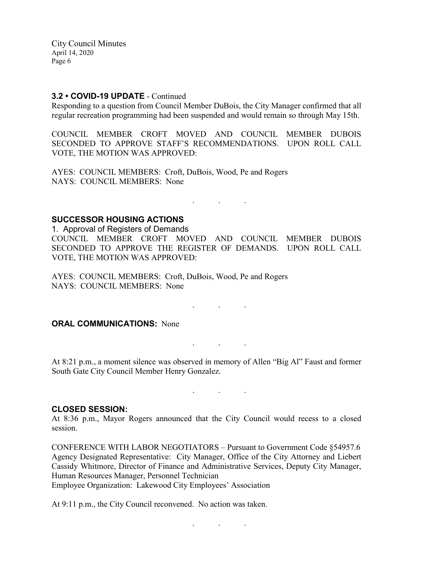### **3.2 • COVID-19 UPDATE** - Continued

Responding to a question from Council Member DuBois, the City Manager confirmed that all regular recreation programming had been suspended and would remain so through May 15th.

COUNCIL MEMBER CROFT MOVED AND COUNCIL MEMBER DUBOIS SECONDED TO APPROVE STAFF'S RECOMMENDATIONS. UPON ROLL CALL VOTE, THE MOTION WAS APPROVED:

AYES: COUNCIL MEMBERS: Croft, DuBois, Wood, Pe and Rogers NAYS: COUNCIL MEMBERS: None

#### **SUCCESSOR HOUSING ACTIONS**

1. Approval of Registers of Demands COUNCIL MEMBER CROFT MOVED AND COUNCIL MEMBER DUBOIS SECONDED TO APPROVE THE REGISTER OF DEMANDS. UPON ROLL CALL VOTE, THE MOTION WAS APPROVED:

. . .

. . .

AYES: COUNCIL MEMBERS: Croft, DuBois, Wood, Pe and Rogers NAYS: COUNCIL MEMBERS: None

# **ORAL COMMUNICATIONS: None**

At 8:21 p.m., a moment silence was observed in memory of Allen "Big Al" Faust and former South Gate City Council Member Henry Gonzalez.

. . .

. . .

#### **CLOSED SESSION:**

At 8:36 p.m., Mayor Rogers announced that the City Council would recess to a closed session.

CONFERENCE WITH LABOR NEGOTIATORS – Pursuant to Government Code §54957.6 Agency Designated Representative: City Manager, Office of the City Attorney and Liebert Cassidy Whitmore, Director of Finance and Administrative Services, Deputy City Manager, Human Resources Manager, Personnel Technician

. . .

Employee Organization: Lakewood City Employees' Association

At 9:11 p.m., the City Council reconvened. No action was taken.